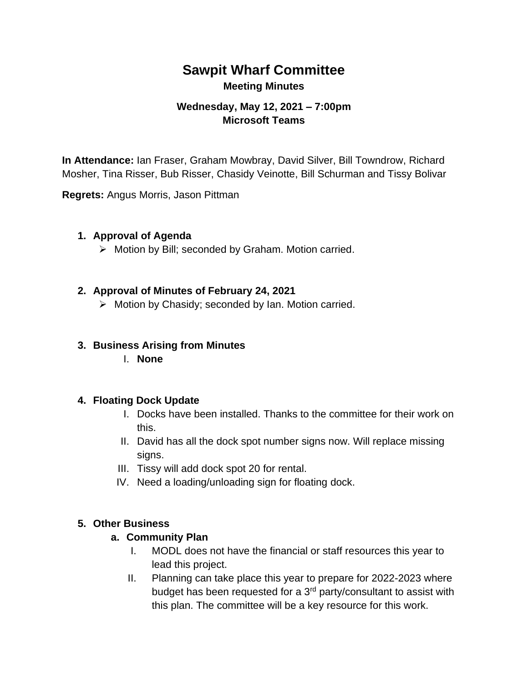# **Sawpit Wharf Committee Meeting Minutes**

### **Wednesday, May 12, 2021 – 7:00pm Microsoft Teams**

**In Attendance:** Ian Fraser, Graham Mowbray, David Silver, Bill Towndrow, Richard Mosher, Tina Risser, Bub Risser, Chasidy Veinotte, Bill Schurman and Tissy Bolivar

**Regrets:** Angus Morris, Jason Pittman

#### **1. Approval of Agenda**

➢ Motion by Bill; seconded by Graham. Motion carried.

#### **2. Approval of Minutes of February 24, 2021**

➢ Motion by Chasidy; seconded by Ian. Motion carried.

#### **3. Business Arising from Minutes**

I. **None**

#### **4. Floating Dock Update**

- I. Docks have been installed. Thanks to the committee for their work on this.
- II. David has all the dock spot number signs now. Will replace missing signs.
- III. Tissy will add dock spot 20 for rental.
- IV. Need a loading/unloading sign for floating dock.

#### **5. Other Business**

#### **a. Community Plan**

- I. MODL does not have the financial or staff resources this year to lead this project.
- II. Planning can take place this year to prepare for 2022-2023 where budget has been requested for a 3rd party/consultant to assist with this plan. The committee will be a key resource for this work.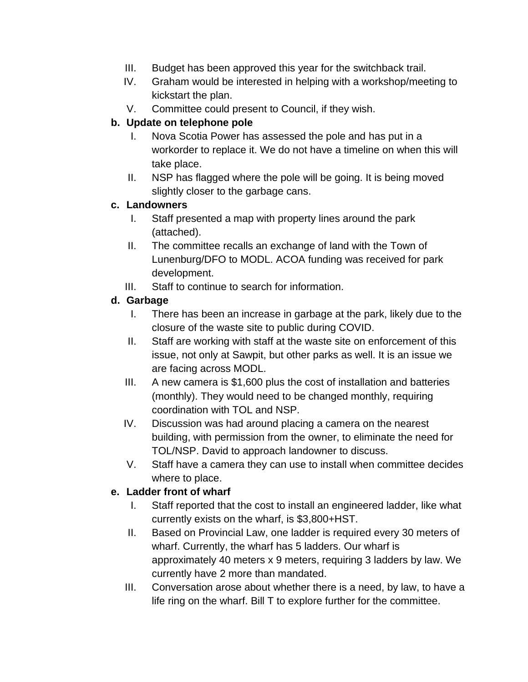- III. Budget has been approved this year for the switchback trail.
- IV. Graham would be interested in helping with a workshop/meeting to kickstart the plan.
- V. Committee could present to Council, if they wish.

### **b. Update on telephone pole**

- I. Nova Scotia Power has assessed the pole and has put in a workorder to replace it. We do not have a timeline on when this will take place.
- II. NSP has flagged where the pole will be going. It is being moved slightly closer to the garbage cans.

#### **c. Landowners**

- I. Staff presented a map with property lines around the park (attached).
- II. The committee recalls an exchange of land with the Town of Lunenburg/DFO to MODL. ACOA funding was received for park development.
- III. Staff to continue to search for information.

### **d. Garbage**

- I. There has been an increase in garbage at the park, likely due to the closure of the waste site to public during COVID.
- II. Staff are working with staff at the waste site on enforcement of this issue, not only at Sawpit, but other parks as well. It is an issue we are facing across MODL.
- III. A new camera is \$1,600 plus the cost of installation and batteries (monthly). They would need to be changed monthly, requiring coordination with TOL and NSP.
- IV. Discussion was had around placing a camera on the nearest building, with permission from the owner, to eliminate the need for TOL/NSP. David to approach landowner to discuss.
- V. Staff have a camera they can use to install when committee decides where to place.

### **e. Ladder front of wharf**

- I. Staff reported that the cost to install an engineered ladder, like what currently exists on the wharf, is \$3,800+HST.
- II. Based on Provincial Law, one ladder is required every 30 meters of wharf. Currently, the wharf has 5 ladders. Our wharf is approximately 40 meters x 9 meters, requiring 3 ladders by law. We currently have 2 more than mandated.
- III. Conversation arose about whether there is a need, by law, to have a life ring on the wharf. Bill T to explore further for the committee.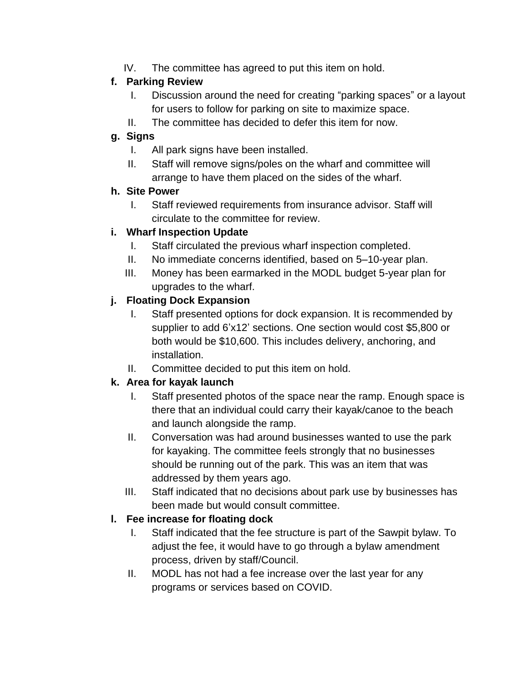IV. The committee has agreed to put this item on hold.

## **f. Parking Review**

- I. Discussion around the need for creating "parking spaces" or a layout for users to follow for parking on site to maximize space.
- II. The committee has decided to defer this item for now.

## **g. Signs**

- I. All park signs have been installed.
- II. Staff will remove signs/poles on the wharf and committee will arrange to have them placed on the sides of the wharf.

### **h. Site Power**

I. Staff reviewed requirements from insurance advisor. Staff will circulate to the committee for review.

## **i. Wharf Inspection Update**

- I. Staff circulated the previous wharf inspection completed.
- II. No immediate concerns identified, based on 5–10-year plan.
- III. Money has been earmarked in the MODL budget 5-year plan for upgrades to the wharf.

## **j. Floating Dock Expansion**

- I. Staff presented options for dock expansion. It is recommended by supplier to add 6'x12' sections. One section would cost \$5,800 or both would be \$10,600. This includes delivery, anchoring, and installation.
- II. Committee decided to put this item on hold.

## **k. Area for kayak launch**

- I. Staff presented photos of the space near the ramp. Enough space is there that an individual could carry their kayak/canoe to the beach and launch alongside the ramp.
- II. Conversation was had around businesses wanted to use the park for kayaking. The committee feels strongly that no businesses should be running out of the park. This was an item that was addressed by them years ago.
- III. Staff indicated that no decisions about park use by businesses has been made but would consult committee.

## **l. Fee increase for floating dock**

- I. Staff indicated that the fee structure is part of the Sawpit bylaw. To adjust the fee, it would have to go through a bylaw amendment process, driven by staff/Council.
- II. MODL has not had a fee increase over the last year for any programs or services based on COVID.